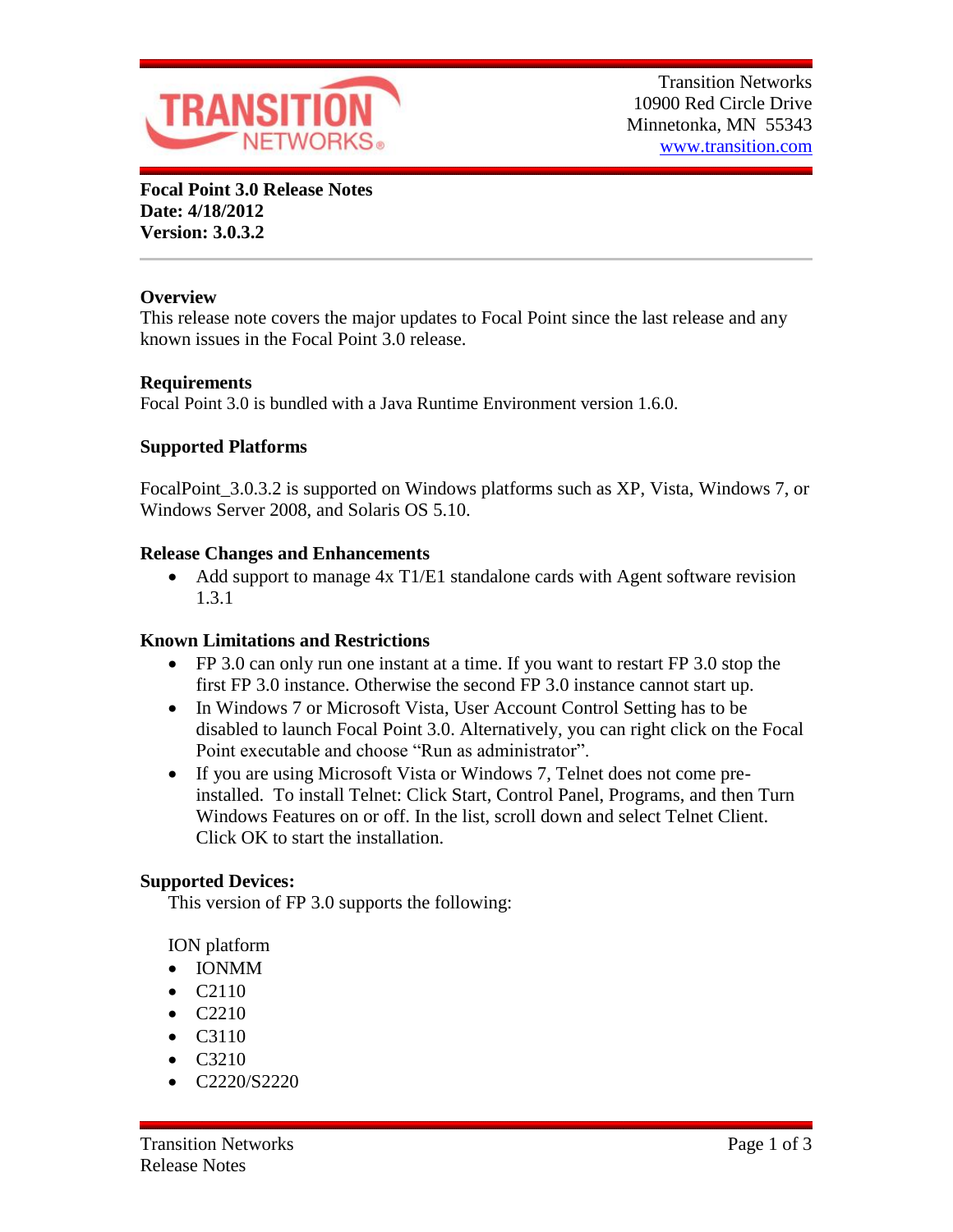

**Focal Point 3.0 Release Notes Date: 4/18/2012 Version: 3.0.3.2**

# **Overview**

This release note covers the major updates to Focal Point since the last release and any known issues in the Focal Point 3.0 release.

## **Requirements**

Focal Point 3.0 is bundled with a Java Runtime Environment version 1.6.0.

## **Supported Platforms**

FocalPoint\_3.0.3.2 is supported on Windows platforms such as XP, Vista, Windows 7, or Windows Server 2008, and Solaris OS 5.10.

### **Release Changes and Enhancements**

• Add support to manage 4x T1/E1 standalone cards with Agent software revision 1.3.1

### **Known Limitations and Restrictions**

- FP 3.0 can only run one instant at a time. If you want to restart FP 3.0 stop the first FP 3.0 instance. Otherwise the second FP 3.0 instance cannot start up.
- In Windows 7 or Microsoft Vista, User Account Control Setting has to be disabled to launch Focal Point 3.0. Alternatively, you can right click on the Focal Point executable and choose "Run as administrator".
- If you are using Microsoft Vista or Windows 7, Telnet does not come preinstalled. To install Telnet: Click Start, Control Panel, Programs, and then Turn Windows Features on or off. In the list, scroll down and select Telnet Client. Click OK to start the installation.

### **Supported Devices:**

This version of FP 3.0 supports the following:

ION platform

- IONMM
- C2110
- $\bullet$  C2210
- C3110
- $\bullet$  C3210
- C2220/S2220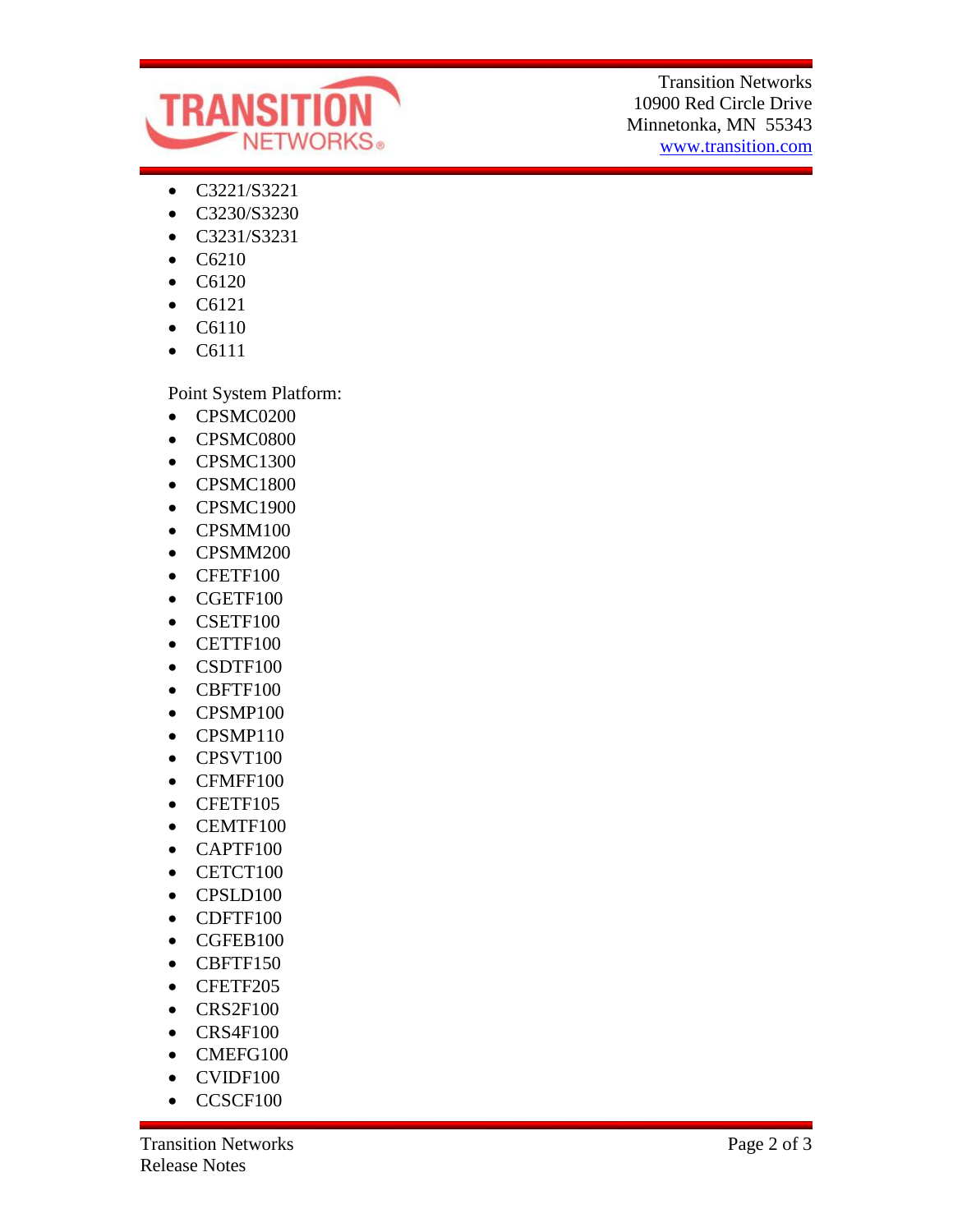

Transition Networks 10900 Red Circle Drive Minnetonka, MN 55343 www.transition.com

- C3221/S3221
- C3230/S3230
- C3231/S3231
- $\bullet$  C6210
- C6120
- C6121
- $\bullet$  C6110
- C6111

Point System Platform:

- CPSMC0200
- CPSMC0800
- CPSMC1300
- CPSMC1800
- CPSMC1900
- CPSMM100
- CPSMM200
- CFETF100
- CGETF100
- CSETF100
- CETTF100
- CSDTF100
- CBFTF100
- CPSMP100
- CPSMP110
- CPSVT100
- CFMFF100
- CFETF105
- CEMTF100
- CAPTF100
- CETCT100
- CPSLD100
- CDFTF100
- CGFEB100
- CBFTF150
- CFETF205
- $\bullet$  CRS2F100
- CRS4F100
- CMEFG100
- CVIDF100
- CCSCF100